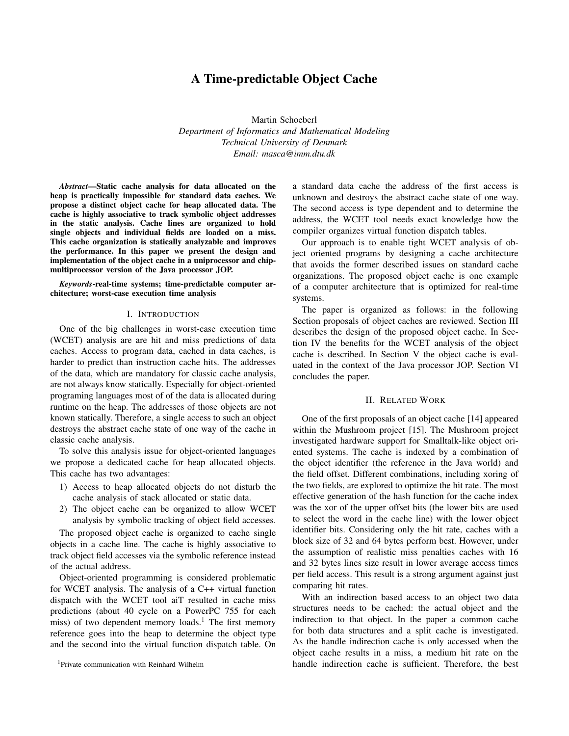# A Time-predictable Object Cache

Martin Schoeberl *Department of Informatics and Mathematical Modeling Technical University of Denmark Email: masca@imm.dtu.dk*

*Abstract*—Static cache analysis for data allocated on the heap is practically impossible for standard data caches. We propose a distinct object cache for heap allocated data. The cache is highly associative to track symbolic object addresses in the static analysis. Cache lines are organized to hold single objects and individual fields are loaded on a miss. This cache organization is statically analyzable and improves the performance. In this paper we present the design and implementation of the object cache in a uniprocessor and chipmultiprocessor version of the Java processor JOP.

*Keywords*-real-time systems; time-predictable computer architecture; worst-case execution time analysis

## I. INTRODUCTION

One of the big challenges in worst-case execution time (WCET) analysis are are hit and miss predictions of data caches. Access to program data, cached in data caches, is harder to predict than instruction cache hits. The addresses of the data, which are mandatory for classic cache analysis, are not always know statically. Especially for object-oriented programing languages most of of the data is allocated during runtime on the heap. The addresses of those objects are not known statically. Therefore, a single access to such an object destroys the abstract cache state of one way of the cache in classic cache analysis.

To solve this analysis issue for object-oriented languages we propose a dedicated cache for heap allocated objects. This cache has two advantages:

- 1) Access to heap allocated objects do not disturb the cache analysis of stack allocated or static data.
- 2) The object cache can be organized to allow WCET analysis by symbolic tracking of object field accesses.

The proposed object cache is organized to cache single objects in a cache line. The cache is highly associative to track object field accesses via the symbolic reference instead of the actual address.

Object-oriented programming is considered problematic for WCET analysis. The analysis of a C++ virtual function dispatch with the WCET tool aiT resulted in cache miss predictions (about 40 cycle on a PowerPC 755 for each miss) of two dependent memory loads.<sup>1</sup> The first memory reference goes into the heap to determine the object type and the second into the virtual function dispatch table. On a standard data cache the address of the first access is unknown and destroys the abstract cache state of one way. The second access is type dependent and to determine the address, the WCET tool needs exact knowledge how the compiler organizes virtual function dispatch tables.

Our approach is to enable tight WCET analysis of object oriented programs by designing a cache architecture that avoids the former described issues on standard cache organizations. The proposed object cache is one example of a computer architecture that is optimized for real-time systems.

The paper is organized as follows: in the following Section proposals of object caches are reviewed. Section III describes the design of the proposed object cache. In Section IV the benefits for the WCET analysis of the object cache is described. In Section V the object cache is evaluated in the context of the Java processor JOP. Section VI concludes the paper.

# II. RELATED WORK

One of the first proposals of an object cache [14] appeared within the Mushroom project [15]. The Mushroom project investigated hardware support for Smalltalk-like object oriented systems. The cache is indexed by a combination of the object identifier (the reference in the Java world) and the field offset. Different combinations, including xoring of the two fields, are explored to optimize the hit rate. The most effective generation of the hash function for the cache index was the xor of the upper offset bits (the lower bits are used to select the word in the cache line) with the lower object identifier bits. Considering only the hit rate, caches with a block size of 32 and 64 bytes perform best. However, under the assumption of realistic miss penalties caches with 16 and 32 bytes lines size result in lower average access times per field access. This result is a strong argument against just comparing hit rates.

With an indirection based access to an object two data structures needs to be cached: the actual object and the indirection to that object. In the paper a common cache for both data structures and a split cache is investigated. As the handle indirection cache is only accessed when the object cache results in a miss, a medium hit rate on the handle indirection cache is sufficient. Therefore, the best

<sup>1</sup>Private communication with Reinhard Wilhelm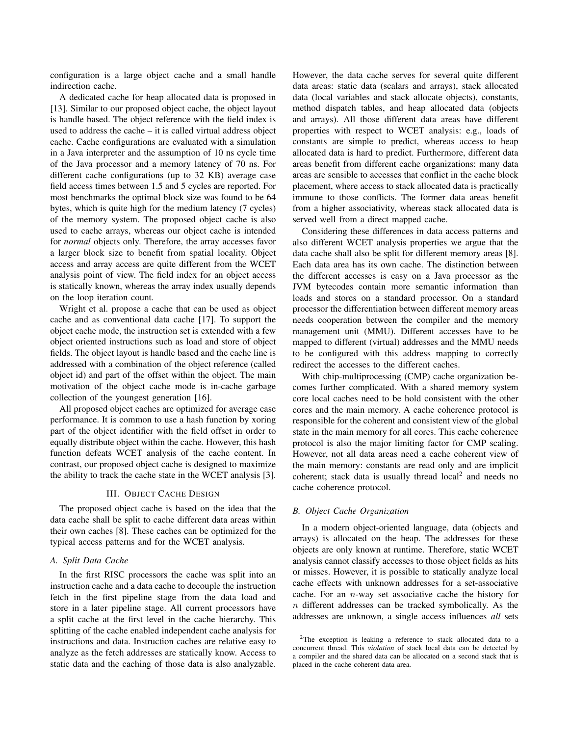configuration is a large object cache and a small handle indirection cache.

A dedicated cache for heap allocated data is proposed in [13]. Similar to our proposed object cache, the object layout is handle based. The object reference with the field index is used to address the cache – it is called virtual address object cache. Cache configurations are evaluated with a simulation in a Java interpreter and the assumption of 10 ns cycle time of the Java processor and a memory latency of 70 ns. For different cache configurations (up to 32 KB) average case field access times between 1.5 and 5 cycles are reported. For most benchmarks the optimal block size was found to be 64 bytes, which is quite high for the medium latency (7 cycles) of the memory system. The proposed object cache is also used to cache arrays, whereas our object cache is intended for *normal* objects only. Therefore, the array accesses favor a larger block size to benefit from spatial locality. Object access and array access are quite different from the WCET analysis point of view. The field index for an object access is statically known, whereas the array index usually depends on the loop iteration count.

Wright et al. propose a cache that can be used as object cache and as conventional data cache [17]. To support the object cache mode, the instruction set is extended with a few object oriented instructions such as load and store of object fields. The object layout is handle based and the cache line is addressed with a combination of the object reference (called object id) and part of the offset within the object. The main motivation of the object cache mode is in-cache garbage collection of the youngest generation [16].

All proposed object caches are optimized for average case performance. It is common to use a hash function by xoring part of the object identifier with the field offset in order to equally distribute object within the cache. However, this hash function defeats WCET analysis of the cache content. In contrast, our proposed object cache is designed to maximize the ability to track the cache state in the WCET analysis [3].

#### III. OBJECT CACHE DESIGN

The proposed object cache is based on the idea that the data cache shall be split to cache different data areas within their own caches [8]. These caches can be optimized for the typical access patterns and for the WCET analysis.

# *A. Split Data Cache*

In the first RISC processors the cache was split into an instruction cache and a data cache to decouple the instruction fetch in the first pipeline stage from the data load and store in a later pipeline stage. All current processors have a split cache at the first level in the cache hierarchy. This splitting of the cache enabled independent cache analysis for instructions and data. Instruction caches are relative easy to analyze as the fetch addresses are statically know. Access to static data and the caching of those data is also analyzable. However, the data cache serves for several quite different data areas: static data (scalars and arrays), stack allocated data (local variables and stack allocate objects), constants, method dispatch tables, and heap allocated data (objects and arrays). All those different data areas have different properties with respect to WCET analysis: e.g., loads of constants are simple to predict, whereas access to heap allocated data is hard to predict. Furthermore, different data areas benefit from different cache organizations: many data areas are sensible to accesses that conflict in the cache block placement, where access to stack allocated data is practically immune to those conflicts. The former data areas benefit from a higher associativity, whereas stack allocated data is served well from a direct mapped cache.

Considering these differences in data access patterns and also different WCET analysis properties we argue that the data cache shall also be split for different memory areas [8]. Each data area has its own cache. The distinction between the different accesses is easy on a Java processor as the JVM bytecodes contain more semantic information than loads and stores on a standard processor. On a standard processor the differentiation between different memory areas needs cooperation between the compiler and the memory management unit (MMU). Different accesses have to be mapped to different (virtual) addresses and the MMU needs to be configured with this address mapping to correctly redirect the accesses to the different caches.

With chip-multiprocessing (CMP) cache organization becomes further complicated. With a shared memory system core local caches need to be hold consistent with the other cores and the main memory. A cache coherence protocol is responsible for the coherent and consistent view of the global state in the main memory for all cores. This cache coherence protocol is also the major limiting factor for CMP scaling. However, not all data areas need a cache coherent view of the main memory: constants are read only and are implicit coherent; stack data is usually thread  $local<sup>2</sup>$  and needs no cache coherence protocol.

## *B. Object Cache Organization*

In a modern object-oriented language, data (objects and arrays) is allocated on the heap. The addresses for these objects are only known at runtime. Therefore, static WCET analysis cannot classify accesses to those object fields as hits or misses. However, it is possible to statically analyze local cache effects with unknown addresses for a set-associative cache. For an  $n$ -way set associative cache the history for n different addresses can be tracked symbolically. As the addresses are unknown, a single access influences *all* sets

<sup>2</sup>The exception is leaking a reference to stack allocated data to a concurrent thread. This *violation* of stack local data can be detected by a compiler and the shared data can be allocated on a second stack that is placed in the cache coherent data area.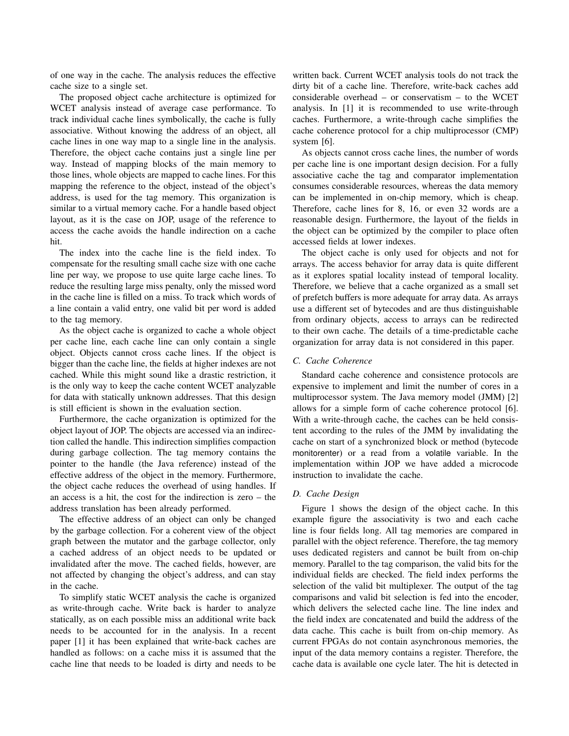of one way in the cache. The analysis reduces the effective cache size to a single set.

The proposed object cache architecture is optimized for WCET analysis instead of average case performance. To track individual cache lines symbolically, the cache is fully associative. Without knowing the address of an object, all cache lines in one way map to a single line in the analysis. Therefore, the object cache contains just a single line per way. Instead of mapping blocks of the main memory to those lines, whole objects are mapped to cache lines. For this mapping the reference to the object, instead of the object's address, is used for the tag memory. This organization is similar to a virtual memory cache. For a handle based object layout, as it is the case on JOP, usage of the reference to access the cache avoids the handle indirection on a cache hit.

The index into the cache line is the field index. To compensate for the resulting small cache size with one cache line per way, we propose to use quite large cache lines. To reduce the resulting large miss penalty, only the missed word in the cache line is filled on a miss. To track which words of a line contain a valid entry, one valid bit per word is added to the tag memory.

As the object cache is organized to cache a whole object per cache line, each cache line can only contain a single object. Objects cannot cross cache lines. If the object is bigger than the cache line, the fields at higher indexes are not cached. While this might sound like a drastic restriction, it is the only way to keep the cache content WCET analyzable for data with statically unknown addresses. That this design is still efficient is shown in the evaluation section.

Furthermore, the cache organization is optimized for the object layout of JOP. The objects are accessed via an indirection called the handle. This indirection simplifies compaction during garbage collection. The tag memory contains the pointer to the handle (the Java reference) instead of the effective address of the object in the memory. Furthermore, the object cache reduces the overhead of using handles. If an access is a hit, the cost for the indirection is zero – the address translation has been already performed.

The effective address of an object can only be changed by the garbage collection. For a coherent view of the object graph between the mutator and the garbage collector, only a cached address of an object needs to be updated or invalidated after the move. The cached fields, however, are not affected by changing the object's address, and can stay in the cache.

To simplify static WCET analysis the cache is organized as write-through cache. Write back is harder to analyze statically, as on each possible miss an additional write back needs to be accounted for in the analysis. In a recent paper [1] it has been explained that write-back caches are handled as follows: on a cache miss it is assumed that the cache line that needs to be loaded is dirty and needs to be written back. Current WCET analysis tools do not track the dirty bit of a cache line. Therefore, write-back caches add considerable overhead – or conservatism – to the WCET analysis. In [1] it is recommended to use write-through caches. Furthermore, a write-through cache simplifies the cache coherence protocol for a chip multiprocessor (CMP) system [6].

As objects cannot cross cache lines, the number of words per cache line is one important design decision. For a fully associative cache the tag and comparator implementation consumes considerable resources, whereas the data memory can be implemented in on-chip memory, which is cheap. Therefore, cache lines for 8, 16, or even 32 words are a reasonable design. Furthermore, the layout of the fields in the object can be optimized by the compiler to place often accessed fields at lower indexes.

The object cache is only used for objects and not for arrays. The access behavior for array data is quite different as it explores spatial locality instead of temporal locality. Therefore, we believe that a cache organized as a small set of prefetch buffers is more adequate for array data. As arrays use a different set of bytecodes and are thus distinguishable from ordinary objects, access to arrays can be redirected to their own cache. The details of a time-predictable cache organization for array data is not considered in this paper.

# *C. Cache Coherence*

Standard cache coherence and consistence protocols are expensive to implement and limit the number of cores in a multiprocessor system. The Java memory model (JMM) [2] allows for a simple form of cache coherence protocol [6]. With a write-through cache, the caches can be held consistent according to the rules of the JMM by invalidating the cache on start of a synchronized block or method (bytecode monitorenter) or a read from a volatile variable. In the implementation within JOP we have added a microcode instruction to invalidate the cache.

#### *D. Cache Design*

Figure 1 shows the design of the object cache. In this example figure the associativity is two and each cache line is four fields long. All tag memories are compared in parallel with the object reference. Therefore, the tag memory uses dedicated registers and cannot be built from on-chip memory. Parallel to the tag comparison, the valid bits for the individual fields are checked. The field index performs the selection of the valid bit multiplexer. The output of the tag comparisons and valid bit selection is fed into the encoder, which delivers the selected cache line. The line index and the field index are concatenated and build the address of the data cache. This cache is built from on-chip memory. As current FPGAs do not contain asynchronous memories, the input of the data memory contains a register. Therefore, the cache data is available one cycle later. The hit is detected in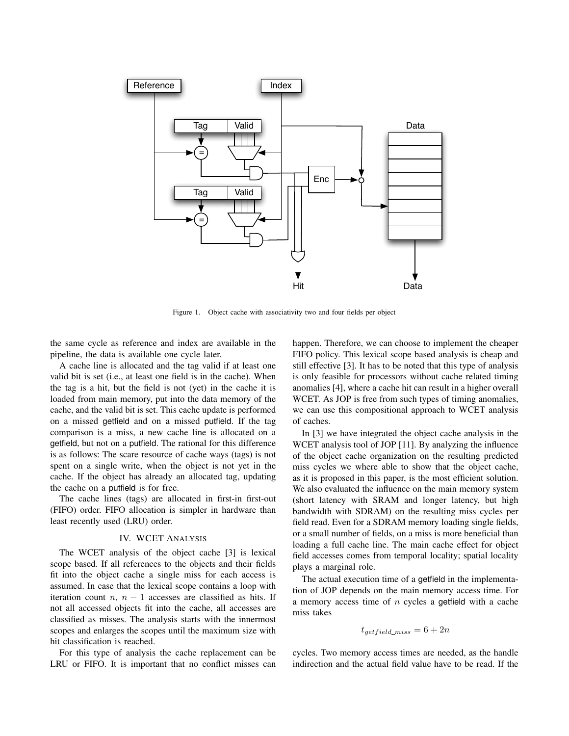

Figure 1. Object cache with associativity two and four fields per object

the same cycle as reference and index are available in the pipeline, the data is available one cycle later.

A cache line is allocated and the tag valid if at least one valid bit is set (i.e., at least one field is in the cache). When the tag is a hit, but the field is not (yet) in the cache it is loaded from main memory, put into the data memory of the cache, and the valid bit is set. This cache update is performed on a missed getfield and on a missed putfield. If the tag comparison is a miss, a new cache line is allocated on a getfield, but not on a putfield. The rational for this difference is as follows: The scare resource of cache ways (tags) is not spent on a single write, when the object is not yet in the cache. If the object has already an allocated tag, updating the cache on a putfield is for free.

The cache lines (tags) are allocated in first-in first-out (FIFO) order. FIFO allocation is simpler in hardware than least recently used (LRU) order.

# IV. WCET ANALYSIS

The WCET analysis of the object cache [3] is lexical scope based. If all references to the objects and their fields fit into the object cache a single miss for each access is assumed. In case that the lexical scope contains a loop with iteration count  $n, n - 1$  accesses are classified as hits. If not all accessed objects fit into the cache, all accesses are classified as misses. The analysis starts with the innermost scopes and enlarges the scopes until the maximum size with hit classification is reached.

For this type of analysis the cache replacement can be LRU or FIFO. It is important that no conflict misses can happen. Therefore, we can choose to implement the cheaper FIFO policy. This lexical scope based analysis is cheap and still effective [3]. It has to be noted that this type of analysis is only feasible for processors without cache related timing anomalies [4], where a cache hit can result in a higher overall WCET. As JOP is free from such types of timing anomalies, we can use this compositional approach to WCET analysis of caches.

In [3] we have integrated the object cache analysis in the WCET analysis tool of JOP [11]. By analyzing the influence of the object cache organization on the resulting predicted miss cycles we where able to show that the object cache, as it is proposed in this paper, is the most efficient solution. We also evaluated the influence on the main memory system (short latency with SRAM and longer latency, but high bandwidth with SDRAM) on the resulting miss cycles per field read. Even for a SDRAM memory loading single fields, or a small number of fields, on a miss is more beneficial than loading a full cache line. The main cache effect for object field accesses comes from temporal locality; spatial locality plays a marginal role.

The actual execution time of a getfield in the implementation of JOP depends on the main memory access time. For a memory access time of  $n$  cycles a getfield with a cache miss takes

$$
t_{getfield\_miss} = 6 + 2n
$$

cycles. Two memory access times are needed, as the handle indirection and the actual field value have to be read. If the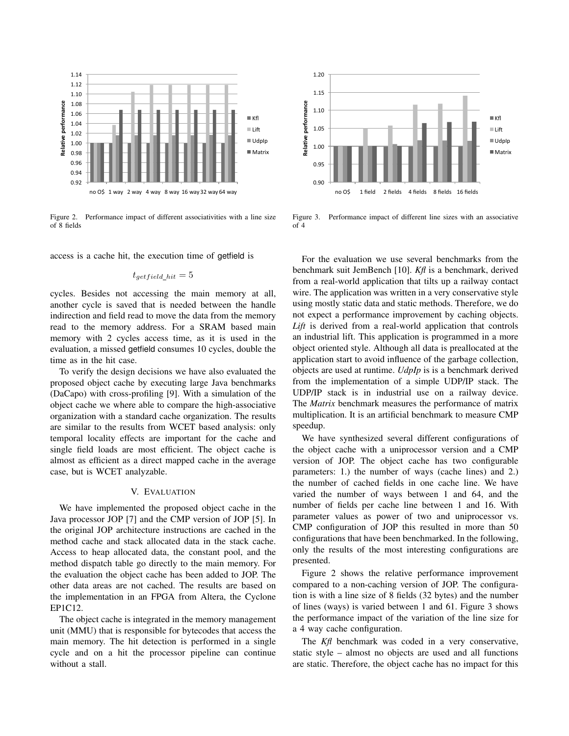

Figure 2. Performance impact of different associativities with a line size of 8 fields

access is a cache hit, the execution time of getfield is

$$
t_{getfield\_hit} = 5
$$

cycles. Besides not accessing the main memory at all, another cycle is saved that is needed between the handle indirection and field read to move the data from the memory read to the memory address. For a SRAM based main memory with 2 cycles access time, as it is used in the evaluation, a missed getfield consumes 10 cycles, double the time as in the hit case.

To verify the design decisions we have also evaluated the proposed object cache by executing large Java benchmarks (DaCapo) with cross-profiling [9]. With a simulation of the object cache we where able to compare the high-associative organization with a standard cache organization. The results are similar to the results from WCET based analysis: only temporal locality effects are important for the cache and single field loads are most efficient. The object cache is almost as efficient as a direct mapped cache in the average case, but is WCET analyzable.

# V. EVALUATION

We have implemented the proposed object cache in the Java processor JOP [7] and the CMP version of JOP [5]. In the original JOP architecture instructions are cached in the method cache and stack allocated data in the stack cache. Access to heap allocated data, the constant pool, and the method dispatch table go directly to the main memory. For the evaluation the object cache has been added to JOP. The other data areas are not cached. The results are based on the implementation in an FPGA from Altera, the Cyclone EP1C12.

The object cache is integrated in the memory management unit (MMU) that is responsible for bytecodes that access the main memory. The hit detection is performed in a single cycle and on a hit the processor pipeline can continue without a stall.



Figure 3. Performance impact of different line sizes with an associative of 4

For the evaluation we use several benchmarks from the benchmark suit JemBench [10]. *Kfl* is a benchmark, derived from a real-world application that tilts up a railway contact wire. The application was written in a very conservative style using mostly static data and static methods. Therefore, we do not expect a performance improvement by caching objects. *Lift* is derived from a real-world application that controls an industrial lift. This application is programmed in a more object oriented style. Although all data is preallocated at the application start to avoid influence of the garbage collection, objects are used at runtime. *UdpIp* is is a benchmark derived from the implementation of a simple UDP/IP stack. The UDP/IP stack is in industrial use on a railway device. The *Matrix* benchmark measures the performance of matrix multiplication. It is an artificial benchmark to measure CMP speedup.

We have synthesized several different configurations of the object cache with a uniprocessor version and a CMP version of JOP. The object cache has two configurable parameters: 1.) the number of ways (cache lines) and 2.) the number of cached fields in one cache line. We have varied the number of ways between 1 and 64, and the number of fields per cache line between 1 and 16. With parameter values as power of two and uniprocessor vs. CMP configuration of JOP this resulted in more than 50 configurations that have been benchmarked. In the following, only the results of the most interesting configurations are presented.

Figure 2 shows the relative performance improvement compared to a non-caching version of JOP. The configuration is with a line size of 8 fields (32 bytes) and the number of lines (ways) is varied between 1 and 61. Figure 3 shows the performance impact of the variation of the line size for a 4 way cache configuration.

The *Kfl* benchmark was coded in a very conservative, static style – almost no objects are used and all functions are static. Therefore, the object cache has no impact for this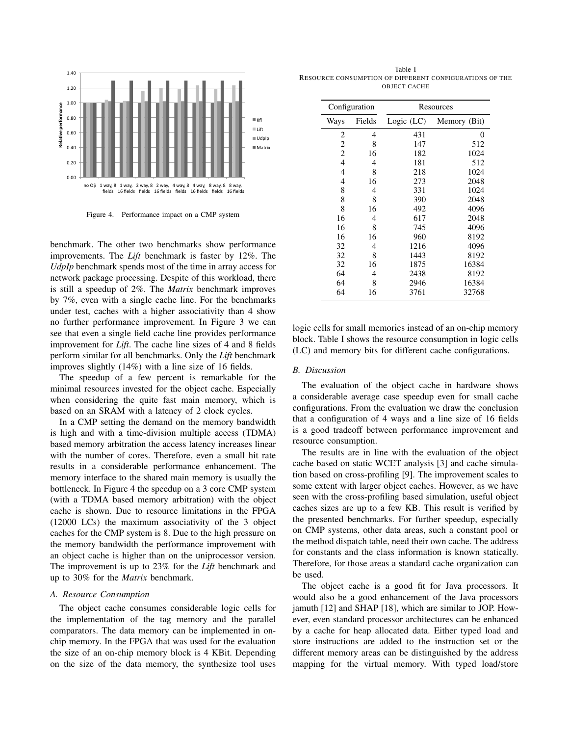

Figure 4. Performance impact on a CMP system

benchmark. The other two benchmarks show performance improvements. The *Lift* benchmark is faster by 12%. The *UdpIp* benchmark spends most of the time in array access for network package processing. Despite of this workload, there is still a speedup of 2%. The *Matrix* benchmark improves by 7%, even with a single cache line. For the benchmarks under test, caches with a higher associativity than 4 show no further performance improvement. In Figure 3 we can see that even a single field cache line provides performance improvement for *Lift*. The cache line sizes of 4 and 8 fields perform similar for all benchmarks. Only the *Lift* benchmark improves slightly (14%) with a line size of 16 fields.

The speedup of a few percent is remarkable for the minimal resources invested for the object cache. Especially when considering the quite fast main memory, which is based on an SRAM with a latency of 2 clock cycles.

In a CMP setting the demand on the memory bandwidth is high and with a time-division multiple access (TDMA) based memory arbitration the access latency increases linear with the number of cores. Therefore, even a small hit rate results in a considerable performance enhancement. The memory interface to the shared main memory is usually the bottleneck. In Figure 4 the speedup on a 3 core CMP system (with a TDMA based memory arbitration) with the object cache is shown. Due to resource limitations in the FPGA (12000 LCs) the maximum associativity of the 3 object caches for the CMP system is 8. Due to the high pressure on the memory bandwidth the performance improvement with an object cache is higher than on the uniprocessor version. The improvement is up to 23% for the *Lift* benchmark and up to 30% for the *Matrix* benchmark.

### *A. Resource Consumption*

The object cache consumes considerable logic cells for the implementation of the tag memory and the parallel comparators. The data memory can be implemented in onchip memory. In the FPGA that was used for the evaluation the size of an on-chip memory block is 4 KBit. Depending on the size of the data memory, the synthesize tool uses

Table I RESOURCE CONSUMPTION OF DIFFERENT CONFIGURATIONS OF THE OBJECT CACHE

| Configuration |                | Resources    |              |
|---------------|----------------|--------------|--------------|
| Ways          | Fields         | Logic $(LC)$ | Memory (Bit) |
| 2             | $\overline{4}$ | 431          | 0            |
| 2             | 8              | 147          | 512          |
| 2             | 16             | 182          | 1024         |
| 4             | 4              | 181          | 512          |
| 4             | 8              | 218          | 1024         |
| 4             | 16             | 273          | 2048         |
| 8             | 4              | 331          | 1024         |
| 8             | 8              | 390          | 2048         |
| 8             | 16             | 492          | 4096         |
| 16            | 4              | 617          | 2048         |
| 16            | 8              | 745          | 4096         |
| 16            | 16             | 960          | 8192         |
| 32            | 4              | 1216         | 4096         |
| 32            | 8              | 1443         | 8192         |
| 32            | 16             | 1875         | 16384        |
| 64            | 4              | 2438         | 8192         |
| 64            | 8              | 2946         | 16384        |
| 64            | 16             | 3761         | 32768        |

logic cells for small memories instead of an on-chip memory block. Table I shows the resource consumption in logic cells (LC) and memory bits for different cache configurations.

### *B. Discussion*

The evaluation of the object cache in hardware shows a considerable average case speedup even for small cache configurations. From the evaluation we draw the conclusion that a configuration of 4 ways and a line size of 16 fields is a good tradeoff between performance improvement and resource consumption.

The results are in line with the evaluation of the object cache based on static WCET analysis [3] and cache simulation based on cross-profiling [9]. The improvement scales to some extent with larger object caches. However, as we have seen with the cross-profiling based simulation, useful object caches sizes are up to a few KB. This result is verified by the presented benchmarks. For further speedup, especially on CMP systems, other data areas, such a constant pool or the method dispatch table, need their own cache. The address for constants and the class information is known statically. Therefore, for those areas a standard cache organization can be used.

The object cache is a good fit for Java processors. It would also be a good enhancement of the Java processors jamuth [12] and SHAP [18], which are similar to JOP. However, even standard processor architectures can be enhanced by a cache for heap allocated data. Either typed load and store instructions are added to the instruction set or the different memory areas can be distinguished by the address mapping for the virtual memory. With typed load/store